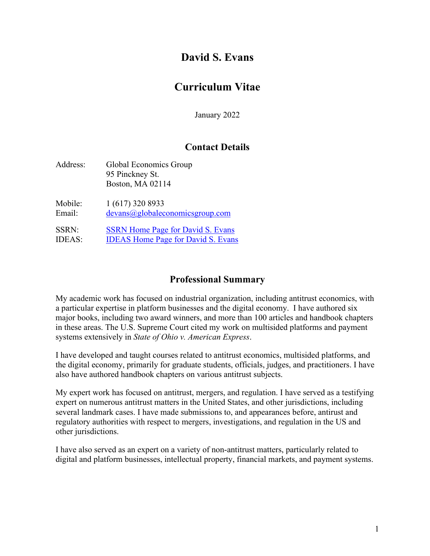# **David S. Evans**

# **Curriculum Vitae**

January 2022

# **Contact Details**

| Address:      | Global Economics Group<br>95 Pinckney St.<br>Boston, MA 02114 |
|---------------|---------------------------------------------------------------|
| Mobile:       | 1 (617) 320 8933                                              |
| Email:        | devans@globaleconomicsgroup.com                               |
| <b>SSRN:</b>  | <b>SSRN</b> Home Page for David S. Evans                      |
| <b>IDEAS:</b> | <b>IDEAS Home Page for David S. Evans</b>                     |

# **Professional Summary**

My academic work has focused on industrial organization, including antitrust economics, with a particular expertise in platform businesses and the digital economy. I have authored six major books, including two award winners, and more than 100 articles and handbook chapters in these areas. The U.S. Supreme Court cited my work on multisided platforms and payment systems extensively in *State of Ohio v. American Express*.

I have developed and taught courses related to antitrust economics, multisided platforms, and the digital economy, primarily for graduate students, officials, judges, and practitioners. I have also have authored handbook chapters on various antitrust subjects.

My expert work has focused on antitrust, mergers, and regulation. I have served as a testifying expert on numerous antitrust matters in the United States, and other jurisdictions, including several landmark cases. I have made submissions to, and appearances before, antirust and regulatory authorities with respect to mergers, investigations, and regulation in the US and other jurisdictions.

I have also served as an expert on a variety of non-antitrust matters, particularly related to digital and platform businesses, intellectual property, financial markets, and payment systems.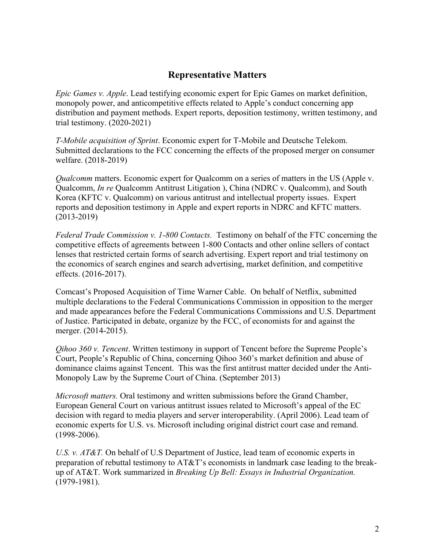### **Representative Matters**

*Epic Games v. Apple*. Lead testifying economic expert for Epic Games on market definition, monopoly power, and anticompetitive effects related to Apple's conduct concerning app distribution and payment methods. Expert reports, deposition testimony, written testimony, and trial testimony. (2020-2021)

*T-Mobile acquisition of Sprint*. Economic expert for T-Mobile and Deutsche Telekom. Submitted declarations to the FCC concerning the effects of the proposed merger on consumer welfare. (2018-2019)

*Qualcomm* matters. Economic expert for Qualcomm on a series of matters in the US (Apple v. Qualcomm, *In re* Qualcomm Antitrust Litigation ), China (NDRC v. Qualcomm), and South Korea (KFTC v. Qualcomm) on various antitrust and intellectual property issues. Expert reports and deposition testimony in Apple and expert reports in NDRC and KFTC matters. (2013-2019)

*Federal Trade Commission v. 1-800 Contacts.* Testimony on behalf of the FTC concerning the competitive effects of agreements between 1-800 Contacts and other online sellers of contact lenses that restricted certain forms of search advertising. Expert report and trial testimony on the economics of search engines and search advertising, market definition, and competitive effects. (2016-2017).

Comcast's Proposed Acquisition of Time Warner Cable. On behalf of Netflix, submitted multiple declarations to the Federal Communications Commission in opposition to the merger and made appearances before the Federal Communications Commissions and U.S. Department of Justice. Participated in debate, organize by the FCC, of economists for and against the merger. (2014-2015).

*Qihoo 360 v. Tencent*. Written testimony in support of Tencent before the Supreme People's Court, People's Republic of China, concerning Qihoo 360's market definition and abuse of dominance claims against Tencent. This was the first antitrust matter decided under the Anti-Monopoly Law by the Supreme Court of China. (September 2013)

*Microsoft matters.* Oral testimony and written submissions before the Grand Chamber, European General Court on various antitrust issues related to Microsoft's appeal of the EC decision with regard to media players and server interoperability. (April 2006). Lead team of economic experts for U.S. vs. Microsoft including original district court case and remand. (1998-2006).

*U.S. v. AT&T.* On behalf of U.S Department of Justice, lead team of economic experts in preparation of rebuttal testimony to AT&T's economists in landmark case leading to the breakup of AT&T. Work summarized in *Breaking Up Bell: Essays in Industrial Organization.*  (1979-1981).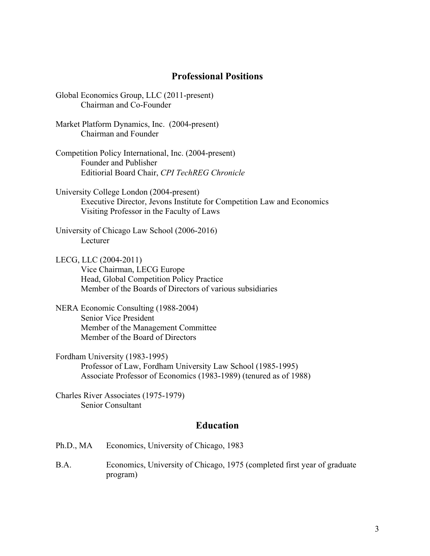### **Professional Positions**

- Global Economics Group, LLC (2011-present) Chairman and Co-Founder
- Market Platform Dynamics, Inc. (2004-present) Chairman and Founder
- Competition Policy International, Inc. (2004-present) Founder and Publisher Editiorial Board Chair, *CPI TechREG Chronicle*
- University College London (2004-present) Executive Director, Jevons Institute for Competition Law and Economics Visiting Professor in the Faculty of Laws
- University of Chicago Law School (2006-2016) Lecturer
- LECG, LLC (2004-2011) Vice Chairman, LECG Europe Head, Global Competition Policy Practice Member of the Boards of Directors of various subsidiaries
- NERA Economic Consulting (1988-2004) Senior Vice President Member of the Management Committee Member of the Board of Directors
- Fordham University (1983-1995) Professor of Law, Fordham University Law School (1985-1995) Associate Professor of Economics (1983-1989) (tenured as of 1988)

Charles River Associates (1975-1979) Senior Consultant

#### **Education**

- Ph.D., MA Economics, University of Chicago, 1983
- B.A. Economics, University of Chicago, 1975 (completed first year of graduate program)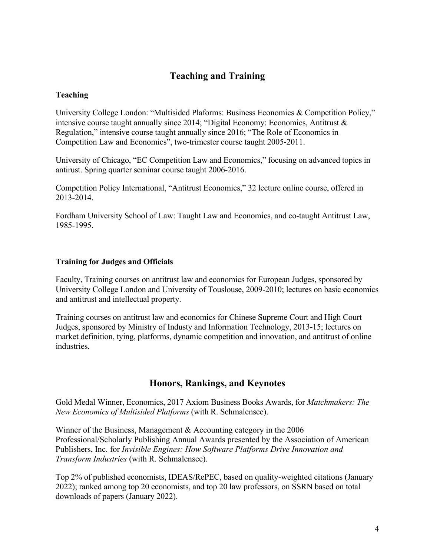# **Teaching and Training**

#### **Teaching**

University College London: "Multisided Plaforms: Business Economics & Competition Policy," intensive course taught annually since 2014; "Digital Economy: Economics, Antitrust & Regulation," intensive course taught annually since 2016; "The Role of Economics in Competition Law and Economics", two-trimester course taught 2005-2011.

University of Chicago, "EC Competition Law and Economics," focusing on advanced topics in antirust. Spring quarter seminar course taught 2006-2016.

Competition Policy International, "Antitrust Economics," 32 lecture online course, offered in 2013-2014.

Fordham University School of Law: Taught Law and Economics, and co-taught Antitrust Law, 1985-1995.

#### **Training for Judges and Officials**

Faculty, Training courses on antitrust law and economics for European Judges, sponsored by University College London and University of Touslouse, 2009-2010; lectures on basic economics and antitrust and intellectual property.

Training courses on antitrust law and economics for Chinese Supreme Court and High Court Judges, sponsored by Ministry of Industy and Information Technology, 2013-15; lectures on market definition, tying, platforms, dynamic competition and innovation, and antitrust of online industries.

### **Honors, Rankings, and Keynotes**

Gold Medal Winner, Economics, 2017 Axiom Business Books Awards, for *Matchmakers: The New Economics of Multisided Platforms* (with R. Schmalensee).

Winner of the Business, Management & Accounting category in the 2006 Professional/Scholarly Publishing Annual Awards presented by the Association of American Publishers, Inc. for *Invisible Engines: How Software Platforms Drive Innovation and Transform Industries* (with R. Schmalensee).

Top 2% of published economists, IDEAS/RePEC, based on quality-weighted citations (January 2022); ranked among top 20 economists, and top 20 law professors, on SSRN based on total downloads of papers (January 2022).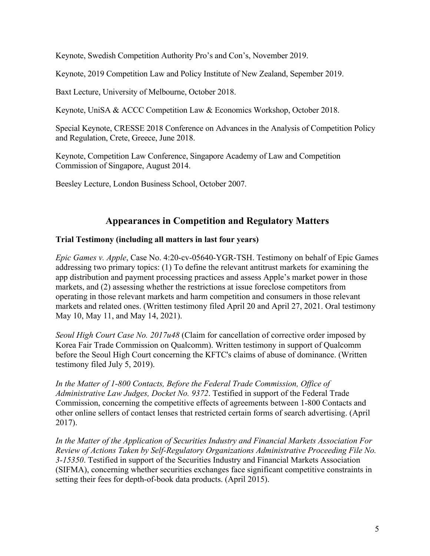Keynote, Swedish Competition Authority Pro's and Con's, November 2019.

Keynote, 2019 Competition Law and Policy Institute of New Zealand, Sepember 2019.

Baxt Lecture, University of Melbourne, October 2018.

Keynote, UniSA & ACCC Competition Law & Economics Workshop, October 2018.

Special Keynote, CRESSE 2018 Conference on Advances in the Analysis of Competition Policy and Regulation, Crete, Greece, June 2018.

Keynote, Competition Law Conference, Singapore Academy of Law and Competition Commission of Singapore, August 2014.

Beesley Lecture, London Business School, October 2007.

## **Appearances in Competition and Regulatory Matters**

### **Trial Testimony (including all matters in last four years)**

*Epic Games v. Apple*, Case No. 4:20-cv-05640-YGR-TSH. Testimony on behalf of Epic Games addressing two primary topics: (1) To define the relevant antitrust markets for examining the app distribution and payment processing practices and assess Apple's market power in those markets, and (2) assessing whether the restrictions at issue foreclose competitors from operating in those relevant markets and harm competition and consumers in those relevant markets and related ones. (Written testimony filed April 20 and April 27, 2021. Oral testimony May 10, May 11, and May 14, 2021).

*Seoul High Court Case No. 2017u48* (Claim for cancellation of corrective order imposed by Korea Fair Trade Commission on Qualcomm). Written testimony in support of Qualcomm before the Seoul High Court concerning the KFTC's claims of abuse of dominance. (Written testimony filed July 5, 2019).

*In the Matter of 1-800 Contacts, Before the Federal Trade Commission, Office of Administrative Law Judges, Docket No. 9372*. Testified in support of the Federal Trade Commission, concerning the competitive effects of agreements between 1-800 Contacts and other online sellers of contact lenses that restricted certain forms of search advertising. (April 2017).

*In the Matter of the Application of Securities Industry and Financial Markets Association For Review of Actions Taken by Self-Regulatory Organizations Administrative Proceeding File No. 3-15350*. Testified in support of the Securities Industry and Financial Markets Association (SIFMA), concerning whether securities exchanges face significant competitive constraints in setting their fees for depth-of-book data products. (April 2015).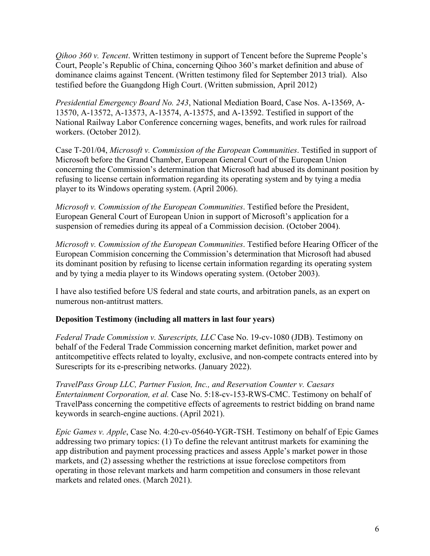*Qihoo 360 v. Tencent*. Written testimony in support of Tencent before the Supreme People's Court, People's Republic of China, concerning Qihoo 360's market definition and abuse of dominance claims against Tencent. (Written testimony filed for September 2013 trial). Also testified before the Guangdong High Court. (Written submission, April 2012)

*Presidential Emergency Board No. 243*, National Mediation Board, Case Nos. A-13569, A-13570, A-13572, A-13573, A-13574, A-13575, and A-13592. Testified in support of the National Railway Labor Conference concerning wages, benefits, and work rules for railroad workers. (October 2012).

Case T-201/04, *Microsoft v. Commission of the European Communities*. Testified in support of Microsoft before the Grand Chamber, European General Court of the European Union concerning the Commission's determination that Microsoft had abused its dominant position by refusing to license certain information regarding its operating system and by tying a media player to its Windows operating system. (April 2006).

*Microsoft v. Commission of the European Communities*. Testified before the President, European General Court of European Union in support of Microsoft's application for a suspension of remedies during its appeal of a Commission decision. (October 2004).

*Microsoft v. Commission of the European Communities*. Testified before Hearing Officer of the European Commision concerning the Commission's determination that Microsoft had abused its dominant position by refusing to license certain information regarding its operating system and by tying a media player to its Windows operating system. (October 2003).

I have also testified before US federal and state courts, and arbitration panels, as an expert on numerous non-antitrust matters.

### **Deposition Testimony (including all matters in last four years)**

*Federal Trade Commission v. Surescripts, LLC* Case No. 19-cv-1080 (JDB). Testimony on behalf of the Federal Trade Commission concerning market definition, market power and antitcompetitive effects related to loyalty, exclusive, and non-compete contracts entered into by Surescripts for its e-prescribing networks. (January 2022).

*TravelPass Group LLC, Partner Fusion, Inc., and Reservation Counter v. Caesars Entertainment Corporation, et al.* Case No. 5:18-cv-153-RWS-CMC. Testimony on behalf of TravelPass concerning the competitive effects of agreements to restrict bidding on brand name keywords in search-engine auctions. (April 2021).

*Epic Games v. Apple*, Case No. 4:20-cv-05640-YGR-TSH. Testimony on behalf of Epic Games addressing two primary topics: (1) To define the relevant antitrust markets for examining the app distribution and payment processing practices and assess Apple's market power in those markets, and (2) assessing whether the restrictions at issue foreclose competitors from operating in those relevant markets and harm competition and consumers in those relevant markets and related ones. (March 2021).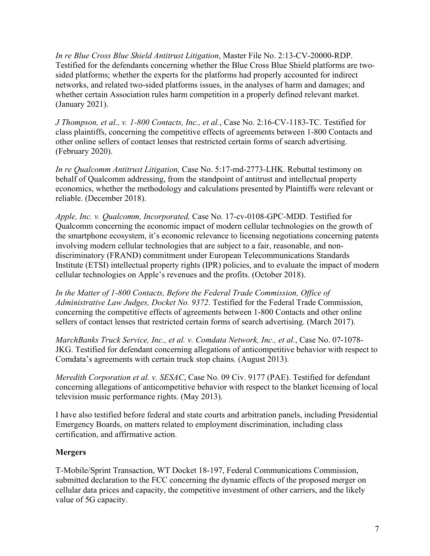*In re Blue Cross Blue Shield Antitrust Litigation*, Master File No. 2:13-CV-20000-RDP. Testified for the defendants concerning whether the Blue Cross Blue Shield platforms are twosided platforms; whether the experts for the platforms had properly accounted for indirect networks, and related two-sided platforms issues, in the analyses of harm and damages; and whether certain Association rules harm competition in a properly defined relevant market. (January 2021).

*J Thompson, et al., v. 1-800 Contacts, Inc., et al.*, Case No. 2:16-CV-1183-TC. Testified for class plaintiffs, concerning the competitive effects of agreements between 1-800 Contacts and other online sellers of contact lenses that restricted certain forms of search advertising. (February 2020).

*In re Qualcomm Antitrust Litigation,* Case No. 5:17-md-2773-LHK. Rebuttal testimony on behalf of Qualcomm addressing, from the standpoint of antitrust and intellectual property economics, whether the methodology and calculations presented by Plaintiffs were relevant or reliable. (December 2018).

*Apple, Inc. v. Qualcomm, Incorporated,* Case No. 17-cv-0108-GPC-MDD. Testified for Qualcomm concerning the economic impact of modern cellular technologies on the growth of the smartphone ecosystem, it's economic relevance to licensing negotiations concerning patents involving modern cellular technologies that are subject to a fair, reasonable, and nondiscriminatory (FRAND) commitment under European Telecommunications Standards Institute (ETSI) intellectual property rights (IPR) policies, and to evaluate the impact of modern cellular technologies on Apple's revenues and the profits. (October 2018).

*In the Matter of 1-800 Contacts, Before the Federal Trade Commission, Office of Administrative Law Judges, Docket No. 9372*. Testified for the Federal Trade Commission, concerning the competitive effects of agreements between 1-800 Contacts and other online sellers of contact lenses that restricted certain forms of search advertising. (March 2017).

*MarchBanks Truck Service, Inc., et al. v. Comdata Network, Inc., et al.*, Case No. 07-1078- JKG. Testified for defendant concerning allegations of anticompetitive behavior with respect to Comdata's agreements with certain truck stop chains. (August 2013).

*Meredith Corporation et al. v. SESAC*, Case No. 09 Civ. 9177 (PAE). Testified for defendant concerning allegations of anticompetitive behavior with respect to the blanket licensing of local television music performance rights. (May 2013).

I have also testified before federal and state courts and arbitration panels, including Presidential Emergency Boards, on matters related to employment discrimination, including class certification, and affirmative action.

### **Mergers**

T-Mobile/Sprint Transaction, WT Docket 18-197, Federal Communications Commission, submitted declaration to the FCC concerning the dynamic effects of the proposed merger on cellular data prices and capacity, the competitive investment of other carriers, and the likely value of 5G capacity.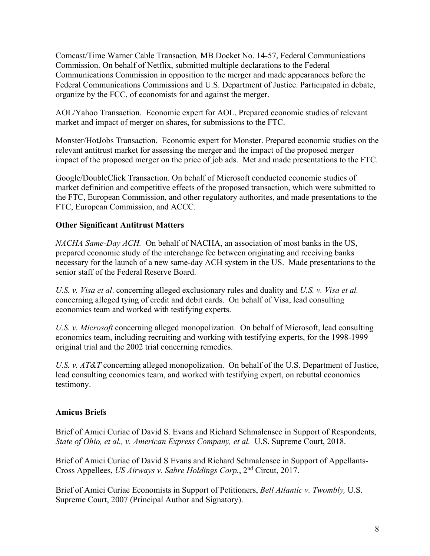Comcast/Time Warner Cable Transaction*,* MB Docket No. 14-57, Federal Communications Commission. On behalf of Netflix, submitted multiple declarations to the Federal Communications Commission in opposition to the merger and made appearances before the Federal Communications Commissions and U.S. Department of Justice. Participated in debate, organize by the FCC, of economists for and against the merger.

AOL/Yahoo Transaction. Economic expert for AOL. Prepared economic studies of relevant market and impact of merger on shares, for submissions to the FTC.

Monster/HotJobs Transaction. Economic expert for Monster. Prepared economic studies on the relevant antitrust market for assessing the merger and the impact of the proposed merger impact of the proposed merger on the price of job ads. Met and made presentations to the FTC.

Google/DoubleClick Transaction. On behalf of Microsoft conducted economic studies of market definition and competitive effects of the proposed transaction, which were submitted to the FTC, European Commission, and other regulatory authorites, and made presentations to the FTC, European Commission, and ACCC.

### **Other Significant Antitrust Matters**

*NACHA Same-Day ACH.* On behalf of NACHA, an association of most banks in the US, prepared economic study of the interchange fee between originating and receiving banks necessary for the launch of a new same-day ACH system in the US. Made presentations to the senior staff of the Federal Reserve Board.

*U.S. v. Visa et al*. concerning alleged exclusionary rules and duality and *U.S. v. Visa et al.*  concerning alleged tying of credit and debit cards. On behalf of Visa, lead consulting economics team and worked with testifying experts.

*U.S. v. Microsoft* concerning alleged monopolization. On behalf of Microsoft, lead consulting economics team, including recruiting and working with testifying experts, for the 1998-1999 original trial and the 2002 trial concerning remedies.

*U.S. v. AT&T* concerning alleged monopolization. On behalf of the U.S. Department of Justice, lead consulting economics team, and worked with testifying expert, on rebuttal economics testimony.

### **Amicus Briefs**

Brief of Amici Curiae of David S. Evans and Richard Schmalensee in Support of Respondents, *State of Ohio, et al., v. American Express Company, et al.* U.S. Supreme Court, 2018.

Brief of Amici Curiae of David S Evans and Richard Schmalensee in Support of Appellants-Cross Appellees, *US Airways v. Sabre Holdings Corp.*, 2nd Circut, 2017.

Brief of Amici Curiae Economists in Support of Petitioners, *Bell Atlantic v. Twombly,* U.S. Supreme Court, 2007 (Principal Author and Signatory).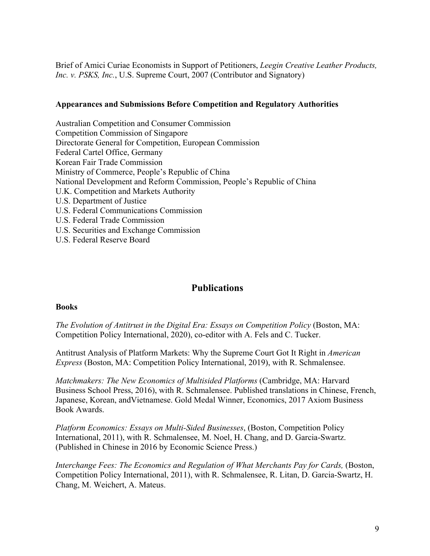Brief of Amici Curiae Economists in Support of Petitioners, *Leegin Creative Leather Products, Inc. v. PSKS, Inc.*, U.S. Supreme Court, 2007 (Contributor and Signatory)

#### **Appearances and Submissions Before Competition and Regulatory Authorities**

Australian Competition and Consumer Commission Competition Commission of Singapore Directorate General for Competition, European Commission Federal Cartel Office, Germany Korean Fair Trade Commission Ministry of Commerce, People's Republic of China National Development and Reform Commission, People's Republic of China U.K. Competition and Markets Authority U.S. Department of Justice U.S. Federal Communications Commission U.S. Federal Trade Commission U.S. Securities and Exchange Commission U.S. Federal Reserve Board

## **Publications**

#### **Books**

*The Evolution of Antitrust in the Digital Era: Essays on Competition Policy* (Boston, MA: Competition Policy International, 2020), co-editor with A. Fels and C. Tucker.

Antitrust Analysis of Platform Markets: Why the Supreme Court Got It Right in *American Express* (Boston, MA: Competition Policy International, 2019), with R. Schmalensee.

*Matchmakers: The New Economics of Multisided Platforms* (Cambridge, MA: Harvard Business School Press, 2016), with R. Schmalensee. Published translations in Chinese, French, Japanese, Korean, andVietnamese. Gold Medal Winner, Economics, 2017 Axiom Business Book Awards.

*Platform Economics: Essays on Multi-Sided Businesses*, (Boston, Competition Policy International, 2011), with R. Schmalensee, M. Noel, H. Chang, and D. Garcia-Swartz. (Published in Chinese in 2016 by Economic Science Press.)

*Interchange Fees: The Economics and Regulation of What Merchants Pay for Cards, (Boston,* Competition Policy International, 2011), with R. Schmalensee, R. Litan, D. Garcia-Swartz, H. Chang, M. Weichert, A. Mateus.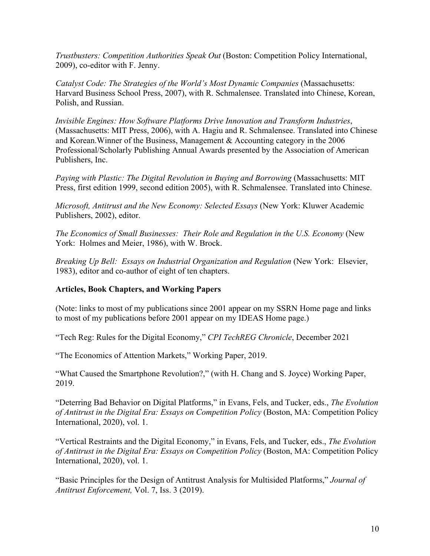*Trustbusters: Competition Authorities Speak Out* (Boston: Competition Policy International, 2009), co-editor with F. Jenny.

*Catalyst Code: The Strategies of the World's Most Dynamic Companies (Massachusetts:* Harvard Business School Press, 2007), with R. Schmalensee. Translated into Chinese, Korean, Polish, and Russian.

*Invisible Engines: How Software Platforms Drive Innovation and Transform Industries*, (Massachusetts: MIT Press, 2006), with A. Hagiu and R. Schmalensee. Translated into Chinese and Korean.Winner of the Business, Management & Accounting category in the 2006 Professional/Scholarly Publishing Annual Awards presented by the Association of American Publishers, Inc.

*Paying with Plastic: The Digital Revolution in Buying and Borrowing* (Massachusetts: MIT Press, first edition 1999, second edition 2005), with R. Schmalensee. Translated into Chinese.

*Microsoft, Antitrust and the New Economy: Selected Essays* (New York: Kluwer Academic Publishers, 2002), editor.

*The Economics of Small Businesses: Their Role and Regulation in the U.S. Economy* (New York: Holmes and Meier, 1986), with W. Brock.

*Breaking Up Bell: Essays on Industrial Organization and Regulation* (New York: Elsevier, 1983), editor and co-author of eight of ten chapters.

### **Articles, Book Chapters, and Working Papers**

(Note: links to most of my publications since 2001 appear on my SSRN Home page and links to most of my publications before 2001 appear on my IDEAS Home page.)

"Tech Reg: Rules for the Digital Economy," *CPI TechREG Chronicle*, December 2021

"The Economics of Attention Markets," Working Paper, 2019.

"What Caused the Smartphone Revolution?," (with H. Chang and S. Joyce) Working Paper, 2019.

"Deterring Bad Behavior on Digital Platforms," in Evans, Fels, and Tucker, eds., *The Evolution of Antitrust in the Digital Era: Essays on Competition Policy* (Boston, MA: Competition Policy International, 2020), vol. 1.

"Vertical Restraints and the Digital Economy," in Evans, Fels, and Tucker, eds., *The Evolution of Antitrust in the Digital Era: Essays on Competition Policy* (Boston, MA: Competition Policy International, 2020), vol. 1.

"Basic Principles for the Design of Antitrust Analysis for Multisided Platforms," *Journal of Antitrust Enforcement,* Vol. 7, Iss. 3 (2019).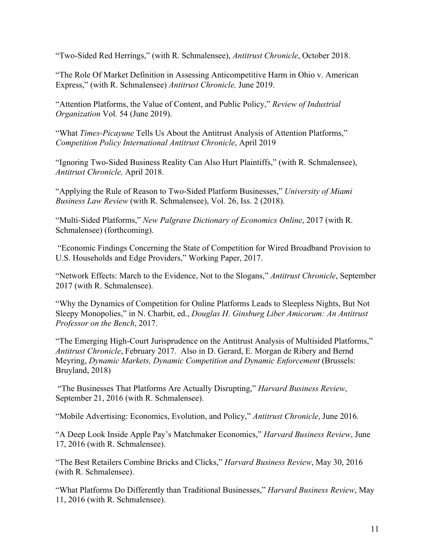"Two-Sided Red Herrings," (with R. Schmalensee), *Antitrust Chronicle*, October 2018.

"The Role Of Market Definition in Assessing Anticompetitive Harm in Ohio v. American Express," (with R. Schmalensee) *Antitrust Chronicle,* June 2019.

"Attention Platforms, the Value of Content, and Public Policy," *Review of Industrial Organization* Vol. 54 (June 2019).

"What *Times-Picayune* Tells Us About the Antitrust Analysis of Attention Platforms," *Competition Policy International Antitrust Chronicle*, April 2019

"Ignoring Two-Sided Business Reality Can Also Hurt Plaintiffs," (with R. Schmalensee), *Antitrust Chronicle,* April 2018.

"Applying the Rule of Reason to Two-Sided Platform Businesses," *University of Miami Business Law Review* (with R. Schmalensee), Vol. 26, Iss. 2 (2018).

"Multi-Sided Platforms," *New Palgrave Dictionary of Economics Online*, 2017 (with R. Schmalensee) (forthcoming).

 "Economic Findings Concerning the State of Competition for Wired Broadband Provision to U.S. Households and Edge Providers," Working Paper, 2017.

"Network Effects: March to the Evidence, Not to the Slogans," *Antitrust Chronicle*, September 2017 (with R. Schmalensee).

"Why the Dynamics of Competition for Online Platforms Leads to Sleepless Nights, But Not Sleepy Monopolies," in N. Charbit, ed., *Douglas H. Ginsburg Liber Amicorum: An Antitrust Professor on the Bench*, 2017.

"The Emerging High-Court Jurisprudence on the Antitrust Analysis of Multisided Platforms," *Antitrust Chronicle*, February 2017. Also in D. Gerard, E. Morgan de Ribery and Bernd Meyring, *Dynamic Markets, Dynamic Competition and Dynamic Enforcement* (Brussels: Bruyland, 2018)

 "The Businesses That Platforms Are Actually Disrupting," *Harvard Business Review*, September 21, 2016 (with R. Schmalensee).

"Mobile Advertising: Economics, Evolution, and Policy," *Antitrust Chronicle*, June 2016.

"A Deep Look Inside Apple Pay's Matchmaker Economics," *Harvard Business Review*, June 17, 2016 (with R. Schmalensee).

"The Best Retailers Combine Bricks and Clicks," *Harvard Business Review*, May 30, 2016 (with R. Schmalensee).

"What Platforms Do Differently than Traditional Businesses," *Harvard Business Review*, May 11, 2016 (with R. Schmalensee).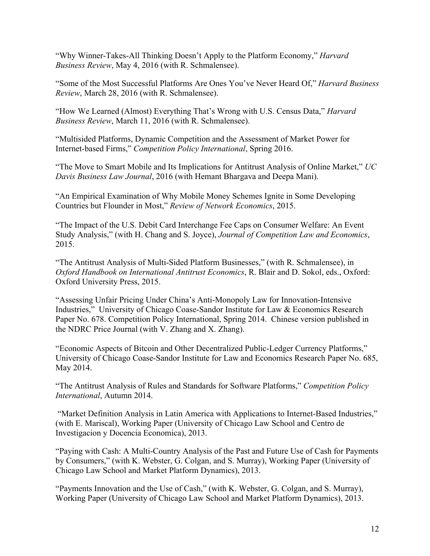"Why Winner-Takes-All Thinking Doesn't Apply to the Platform Economy," *Harvard Business Review*, May 4, 2016 (with R. Schmalensee).

"Some of the Most Successful Platforms Are Ones You've Never Heard Of," *Harvard Business Review*, March 28, 2016 (with R. Schmalensee).

"How We Learned (Almost) Everything That's Wrong with U.S. Census Data," *Harvard Business Review*, March 11, 2016 (with R. Schmalensee).

"Multisided Platforms, Dynamic Competition and the Assessment of Market Power for Internet-based Firms," *Competition Policy International*, Spring 2016.

"The Move to Smart Mobile and Its Implications for Antitrust Analysis of Online Market," *UC Davis Business Law Journal*, 2016 (with Hemant Bhargava and Deepa Mani).

"An Empirical Examination of Why Mobile Money Schemes Ignite in Some Developing Countries but Flounder in Most," *Review of Network Economics*, 2015.

"The Impact of the U.S. Debit Card Interchange Fee Caps on Consumer Welfare: An Event Study Analysis," (with H. Chang and S. Joyce), *Journal of Competition Law and Economics*, 2015.

"The Antitrust Analysis of Multi-Sided Platform Businesses," (with R. Schmalensee), in *Oxford Handbook on International Antitrust Economics*, R. Blair and D. Sokol, eds., Oxford: Oxford University Press, 2015.

"Assessing Unfair Pricing Under China's Anti-Monopoly Law for Innovation-Intensive Industries," University of Chicago Coase-Sandor Institute for Law & Economics Research Paper No. 678. Competition Policy International, Spring 2014. Chinese version published in the NDRC Price Journal (with V. Zhang and X. Zhang).

"Economic Aspects of Bitcoin and Other Decentralized Public-Ledger Currency Platforms," University of Chicago Coase-Sandor Institute for Law and Economics Research Paper No. 685, May 2014.

"The Antitrust Analysis of Rules and Standards for Software Platforms," *Competition Policy International*, Autumn 2014.

 "Market Definition Analysis in Latin America with Applications to Internet-Based Industries," (with E. Mariscal), Working Paper (University of Chicago Law School and Centro de Investigacion y Docencia Economica), 2013.

"Paying with Cash: A Multi-Country Analysis of the Past and Future Use of Cash for Payments by Consumers," (with K. Webster, G. Colgan, and S. Murray), Working Paper (University of Chicago Law School and Market Platform Dynamics), 2013.

"Payments Innovation and the Use of Cash," (with K. Webster, G. Colgan, and S. Murray), Working Paper (University of Chicago Law School and Market Platform Dynamics), 2013.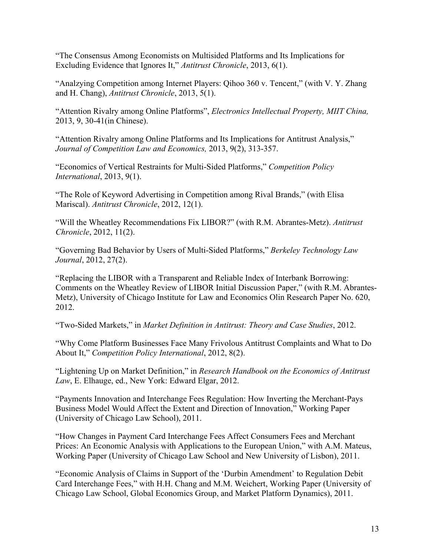"The Consensus Among Economists on Multisided Platforms and Its Implications for Excluding Evidence that Ignores It," *Antitrust Chronicle*, 2013, 6(1).

"Analzying Competition among Internet Players: Qihoo 360 v. Tencent," (with V. Y. Zhang and H. Chang), *Antitrust Chronicle*, 2013, 5(1).

"Attention Rivalry among Online Platforms", *Electronics Intellectual Property, MIIT China,*  2013, 9, 30-41(in Chinese).

"Attention Rivalry among Online Platforms and Its Implications for Antitrust Analysis," *Journal of Competition Law and Economics,* 2013, 9(2), 313-357.

"Economics of Vertical Restraints for Multi-Sided Platforms," *Competition Policy International*, 2013, 9(1).

"The Role of Keyword Advertising in Competition among Rival Brands," (with Elisa Mariscal). *Antitrust Chronicle*, 2012, 12(1).

"Will the Wheatley Recommendations Fix LIBOR?" (with R.M. Abrantes-Metz). *Antitrust Chronicle*, 2012, 11(2).

"Governing Bad Behavior by Users of Multi-Sided Platforms," *Berkeley Technology Law Journal*, 2012, 27(2).

"Replacing the LIBOR with a Transparent and Reliable Index of Interbank Borrowing: Comments on the Wheatley Review of LIBOR Initial Discussion Paper," (with R.M. Abrantes-Metz), University of Chicago Institute for Law and Economics Olin Research Paper No. 620, 2012.

"Two-Sided Markets," in *Market Definition in Antitrust: Theory and Case Studies*, 2012.

"Why Come Platform Businesses Face Many Frivolous Antitrust Complaints and What to Do About It," *Competition Policy International*, 2012, 8(2).

"Lightening Up on Market Definition," in *Research Handbook on the Economics of Antitrust Law*, E. Elhauge, ed., New York: Edward Elgar, 2012.

"Payments Innovation and Interchange Fees Regulation: How Inverting the Merchant-Pays Business Model Would Affect the Extent and Direction of Innovation," Working Paper (University of Chicago Law School), 2011.

"How Changes in Payment Card Interchange Fees Affect Consumers Fees and Merchant Prices: An Economic Analysis with Applications to the European Union," with A.M. Mateus, Working Paper (University of Chicago Law School and New University of Lisbon), 2011.

"Economic Analysis of Claims in Support of the 'Durbin Amendment' to Regulation Debit Card Interchange Fees," with H.H. Chang and M.M. Weichert, Working Paper (University of Chicago Law School, Global Economics Group, and Market Platform Dynamics), 2011.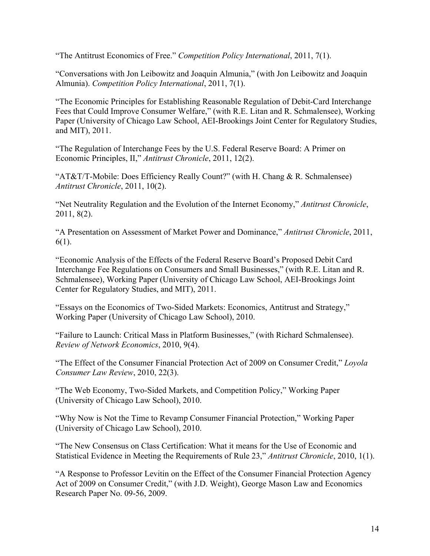"The Antitrust Economics of Free." *Competition Policy International*, 2011, 7(1).

"Conversations with Jon Leibowitz and Joaquin Almunia," (with Jon Leibowitz and Joaquin Almunia). *Competition Policy International*, 2011, 7(1).

"The Economic Principles for Establishing Reasonable Regulation of Debit-Card Interchange Fees that Could Improve Consumer Welfare," (with R.E. Litan and R. Schmalensee), Working Paper (University of Chicago Law School, AEI-Brookings Joint Center for Regulatory Studies, and MIT), 2011.

"The Regulation of Interchange Fees by the U.S. Federal Reserve Board: A Primer on Economic Principles, II," *Antitrust Chronicle*, 2011, 12(2).

"AT&T/T-Mobile: Does Efficiency Really Count?" (with H. Chang & R. Schmalensee) *Antitrust Chronicle*, 2011, 10(2).

"Net Neutrality Regulation and the Evolution of the Internet Economy," *Antitrust Chronicle*, 2011, 8(2).

"A Presentation on Assessment of Market Power and Dominance," *Antitrust Chronicle*, 2011, 6(1).

"Economic Analysis of the Effects of the Federal Reserve Board's Proposed Debit Card Interchange Fee Regulations on Consumers and Small Businesses," (with R.E. Litan and R. Schmalensee), Working Paper (University of Chicago Law School, AEI-Brookings Joint Center for Regulatory Studies, and MIT), 2011.

"Essays on the Economics of Two-Sided Markets: Economics, Antitrust and Strategy," Working Paper (University of Chicago Law School), 2010.

"Failure to Launch: Critical Mass in Platform Businesses," (with Richard Schmalensee). *Review of Network Economics*, 2010, 9(4).

"The Effect of the Consumer Financial Protection Act of 2009 on Consumer Credit," *Loyola Consumer Law Review*, 2010, 22(3).

"The Web Economy, Two-Sided Markets, and Competition Policy," Working Paper (University of Chicago Law School), 2010.

"Why Now is Not the Time to Revamp Consumer Financial Protection," Working Paper (University of Chicago Law School), 2010.

"The New Consensus on Class Certification: What it means for the Use of Economic and Statistical Evidence in Meeting the Requirements of Rule 23," *Antitrust Chronicle*, 2010, 1(1).

"A Response to Professor Levitin on the Effect of the Consumer Financial Protection Agency Act of 2009 on Consumer Credit," (with J.D. Weight), George Mason Law and Economics Research Paper No. 09-56, 2009.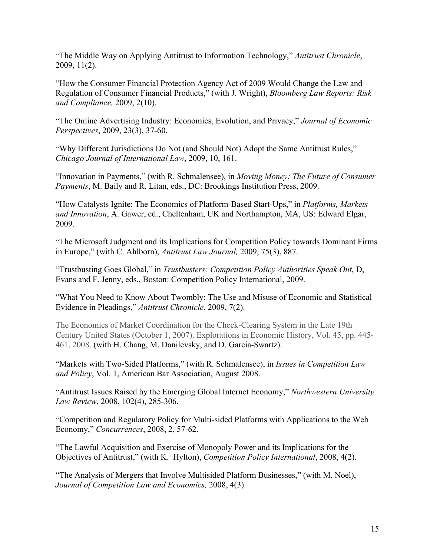"The Middle Way on Applying Antitrust to Information Technology," *Antitrust Chronicle*, 2009, 11(2).

"How the Consumer Financial Protection Agency Act of 2009 Would Change the Law and Regulation of Consumer Financial Products," (with J. Wright), *Bloomberg Law Reports: Risk and Compliance,* 2009, 2(10).

"The Online Advertising Industry: Economics, Evolution, and Privacy," *Journal of Economic Perspectives*, 2009, 23(3), 37-60.

"Why Different Jurisdictions Do Not (and Should Not) Adopt the Same Antitrust Rules," *Chicago Journal of International Law*, 2009, 10, 161.

"Innovation in Payments," (with R. Schmalensee), in *Moving Money: The Future of Consumer Payments*, M. Baily and R. Litan, eds., DC: Brookings Institution Press, 2009.

"How Catalysts Ignite: The Economics of Platform-Based Start-Ups," in *Platforms, Markets and Innovation*, A. Gawer, ed., Cheltenham, UK and Northampton, MA, US: Edward Elgar, 2009.

"The Microsoft Judgment and its Implications for Competition Policy towards Dominant Firms in Europe," (with C. Ahlborn), *Antitrust Law Journal,* 2009, 75(3), 887.

"Trustbusting Goes Global," in *Trustbusters: Competition Policy Authorities Speak Out*, D, Evans and F. Jenny, eds., Boston: Competition Policy International, 2009.

"What You Need to Know About Twombly: The Use and Misuse of Economic and Statistical Evidence in Pleadings," *Antitrust Chronicle*, 2009, 7(2).

The Economics of Market Coordination for the Check-Clearing System in the Late 19th Century United States (October 1, 2007). Explorations in Economic History, Vol. 45, pp. 445- 461, 2008. (with H. Chang, M. Danilevsky, and D. Garcia-Swartz).

"Markets with Two-Sided Platforms," (with R. Schmalensee), in *Issues in Competition Law and Policy*, Vol. 1, American Bar Association, August 2008.

"Antitrust Issues Raised by the Emerging Global Internet Economy," *Northwestern University Law Review*, 2008, 102(4), 285-306.

"Competition and Regulatory Policy for Multi-sided Platforms with Applications to the Web Economy," *Concurrences*, 2008, 2, 57-62.

"The Lawful Acquisition and Exercise of Monopoly Power and its Implications for the Objectives of Antitrust," (with K. Hylton), *Competition Policy International*, 2008, 4(2).

"The Analysis of Mergers that Involve Multisided Platform Businesses," (with M. Noel), *Journal of Competition Law and Economics,* 2008, 4(3).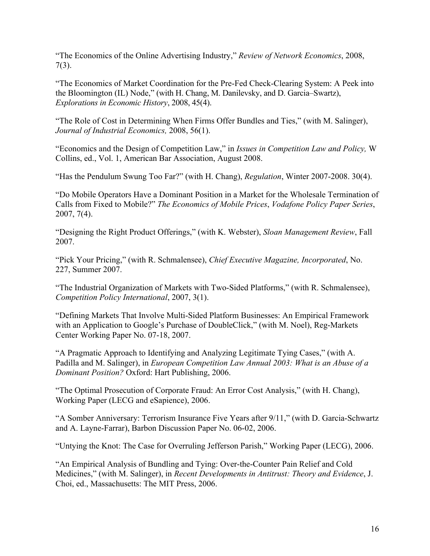"The Economics of the Online Advertising Industry," *Review of Network Economics*, 2008, 7(3).

"The Economics of Market Coordination for the Pre-Fed Check-Clearing System: A Peek into the Bloomington (IL) Node," (with H. Chang, M. Danilevsky, and D. Garcia–Swartz), *Explorations in Economic History*, 2008, 45(4).

"The Role of Cost in Determining When Firms Offer Bundles and Ties," (with M. Salinger), *Journal of Industrial Economics,* 2008, 56(1).

"Economics and the Design of Competition Law," in *Issues in Competition Law and Policy,* W Collins, ed., Vol. 1, American Bar Association, August 2008.

"Has the Pendulum Swung Too Far?" (with H. Chang), *Regulation*, Winter 2007-2008. 30(4).

"Do Mobile Operators Have a Dominant Position in a Market for the Wholesale Termination of Calls from Fixed to Mobile?" *The Economics of Mobile Prices*, *Vodafone Policy Paper Series*, 2007, 7(4).

"Designing the Right Product Offerings," (with K. Webster), *Sloan Management Review*, Fall 2007.

"Pick Your Pricing," (with R. Schmalensee), *Chief Executive Magazine, Incorporated*, No. 227, Summer 2007.

"The Industrial Organization of Markets with Two-Sided Platforms," (with R. Schmalensee), *Competition Policy International*, 2007, 3(1).

"Defining Markets That Involve Multi-Sided Platform Businesses: An Empirical Framework with an Application to Google's Purchase of DoubleClick," (with M. Noel), Reg-Markets Center Working Paper No. 07-18, 2007.

"A Pragmatic Approach to Identifying and Analyzing Legitimate Tying Cases," (with A. Padilla and M. Salinger), in *European Competition Law Annual 2003: What is an Abuse of a Dominant Position?* Oxford: Hart Publishing, 2006.

"The Optimal Prosecution of Corporate Fraud: An Error Cost Analysis," (with H. Chang), Working Paper (LECG and eSapience), 2006.

"A Somber Anniversary: Terrorism Insurance Five Years after 9/11," (with D. Garcia-Schwartz and A. Layne-Farrar), Barbon Discussion Paper No. 06-02, 2006.

"Untying the Knot: The Case for Overruling Jefferson Parish," Working Paper (LECG), 2006.

"An Empirical Analysis of Bundling and Tying: Over-the-Counter Pain Relief and Cold Medicines," (with M. Salinger), in *Recent Developments in Antitrust: Theory and Evidence*, J. Choi, ed., Massachusetts: The MIT Press, 2006.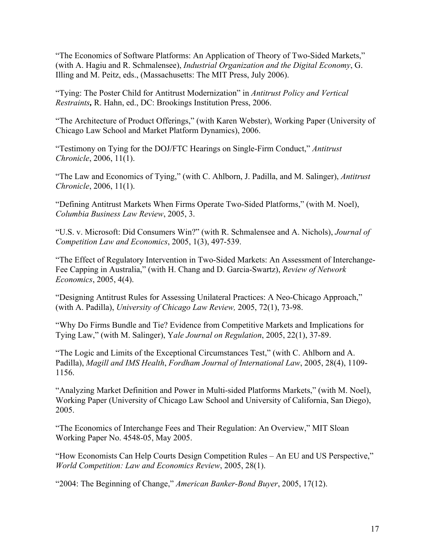"The Economics of Software Platforms: An Application of Theory of Two-Sided Markets," (with A. Hagiu and R. Schmalensee), *Industrial Organization and the Digital Economy*, G. Illing and M. Peitz, eds., (Massachusetts: The MIT Press, July 2006).

"Tying: The Poster Child for Antitrust Modernization" in *Antitrust Policy and Vertical Restraints,* R. Hahn, ed., DC: Brookings Institution Press, 2006.

"The Architecture of Product Offerings," (with Karen Webster), Working Paper (University of Chicago Law School and Market Platform Dynamics), 2006.

"Testimony on Tying for the DOJ/FTC Hearings on Single-Firm Conduct," *Antitrust Chronicle*, 2006, 11(1).

"The Law and Economics of Tying," (with C. Ahlborn, J. Padilla, and M. Salinger), *Antitrust Chronicle*, 2006, 11(1).

"Defining Antitrust Markets When Firms Operate Two-Sided Platforms," (with M. Noel), *Columbia Business Law Review*, 2005, 3.

"U.S. v. Microsoft: Did Consumers Win?" (with R. Schmalensee and A. Nichols), *Journal of Competition Law and Economics*, 2005, 1(3), 497-539.

"The Effect of Regulatory Intervention in Two-Sided Markets: An Assessment of Interchange-Fee Capping in Australia," (with H. Chang and D. Garcia-Swartz), *Review of Network Economics*, 2005, 4(4).

"Designing Antitrust Rules for Assessing Unilateral Practices: A Neo-Chicago Approach," (with A. Padilla), *University of Chicago Law Review,* 2005, 72(1), 73-98.

"Why Do Firms Bundle and Tie? Evidence from Competitive Markets and Implications for Tying Law," (with M. Salinger), Y*ale Journal on Regulation*, 2005, 22(1), 37-89.

"The Logic and Limits of the Exceptional Circumstances Test," (with C. Ahlborn and A. Padilla), *Magill and IMS Health*, *Fordham Journal of International Law*, 2005, 28(4), 1109- 1156.

"Analyzing Market Definition and Power in Multi-sided Platforms Markets," (with M. Noel), Working Paper (University of Chicago Law School and University of California, San Diego), 2005.

"The Economics of Interchange Fees and Their Regulation: An Overview," MIT Sloan Working Paper No. 4548-05, May 2005.

"How Economists Can Help Courts Design Competition Rules – An EU and US Perspective," *World Competition: Law and Economics Review*, 2005, 28(1).

"2004: The Beginning of Change," *American Banker-Bond Buyer*, 2005, 17(12).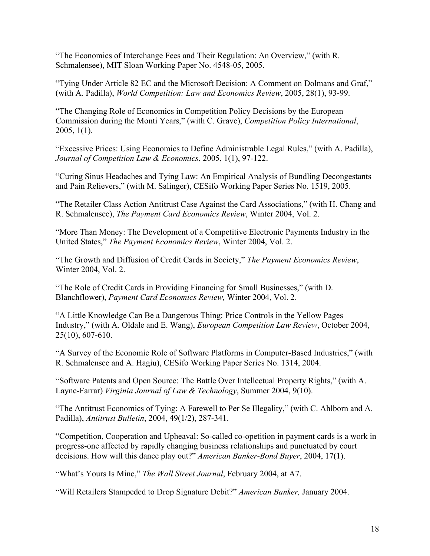"The Economics of Interchange Fees and Their Regulation: An Overview," (with R. Schmalensee), MIT Sloan Working Paper No. 4548-05, 2005.

"Tying Under Article 82 EC and the Microsoft Decision: A Comment on Dolmans and Graf," (with A. Padilla), *World Competition: Law and Economics Review*, 2005, 28(1), 93-99.

"The Changing Role of Economics in Competition Policy Decisions by the European Commission during the Monti Years," (with C. Grave), *Competition Policy International*, 2005, 1(1).

"Excessive Prices: Using Economics to Define Administrable Legal Rules," (with A. Padilla), *Journal of Competition Law & Economics*, 2005, 1(1), 97-122.

"Curing Sinus Headaches and Tying Law: An Empirical Analysis of Bundling Decongestants and Pain Relievers," (with M. Salinger), CESifo Working Paper Series No. 1519, 2005.

"The Retailer Class Action Antitrust Case Against the Card Associations," (with H. Chang and R. Schmalensee), *The Payment Card Economics Review*, Winter 2004, Vol. 2.

"More Than Money: The Development of a Competitive Electronic Payments Industry in the United States," *The Payment Economics Review*, Winter 2004, Vol. 2.

"The Growth and Diffusion of Credit Cards in Society," *The Payment Economics Review*, Winter 2004, Vol. 2.

"The Role of Credit Cards in Providing Financing for Small Businesses," (with D. Blanchflower), *Payment Card Economics Review,* Winter 2004, Vol. 2.

"A Little Knowledge Can Be a Dangerous Thing: Price Controls in the Yellow Pages Industry," (with A. Oldale and E. Wang), *European Competition Law Review*, October 2004, 25(10), 607-610.

"A Survey of the Economic Role of Software Platforms in Computer-Based Industries," (with R. Schmalensee and A. Hagiu), CESifo Working Paper Series No. 1314, 2004.

"Software Patents and Open Source: The Battle Over Intellectual Property Rights," (with A. Layne-Farrar) *Virginia Journal of Law & Technology*, Summer 2004, 9(10).

"The Antitrust Economics of Tying: A Farewell to Per Se Illegality," (with C. Ahlborn and A. Padilla), *Antitrust Bulletin*, 2004, 49(1/2), 287-341.

"Competition, Cooperation and Upheaval: So-called co-opetition in payment cards is a work in progress-one affected by rapidly changing business relationships and punctuated by court decisions. How will this dance play out?" *American Banker-Bond Buyer*, 2004, 17(1).

"What's Yours Is Mine," *The Wall Street Journal*, February 2004, at A7.

"Will Retailers Stampeded to Drop Signature Debit?" *American Banker,* January 2004.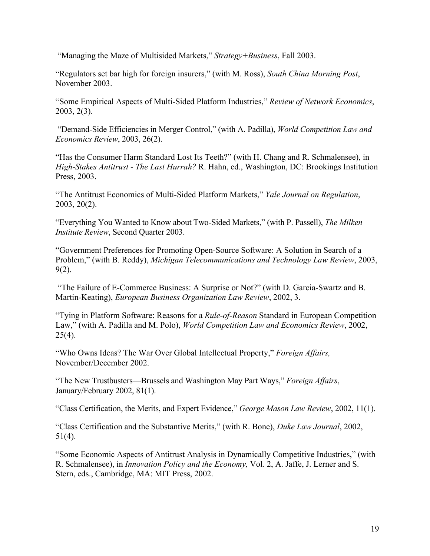"Managing the Maze of Multisided Markets," *Strategy+Business*, Fall 2003.

"Regulators set bar high for foreign insurers," (with M. Ross), *South China Morning Post*, November 2003.

"Some Empirical Aspects of Multi-Sided Platform Industries," *Review of Network Economics*, 2003, 2(3).

 "Demand-Side Efficiencies in Merger Control," (with A. Padilla), *World Competition Law and Economics Review*, 2003, 26(2).

"Has the Consumer Harm Standard Lost Its Teeth?" (with H. Chang and R. Schmalensee), in *High-Stakes Antitrust - The Last Hurrah?* R. Hahn, ed., Washington, DC: Brookings Institution Press, 2003.

"The Antitrust Economics of Multi-Sided Platform Markets," *Yale Journal on Regulation*, 2003, 20(2).

"Everything You Wanted to Know about Two-Sided Markets," (with P. Passell), *The Milken Institute Review*, Second Quarter 2003.

"Government Preferences for Promoting Open-Source Software: A Solution in Search of a Problem," (with B. Reddy), *Michigan Telecommunications and Technology Law Review*, 2003, 9(2).

 "The Failure of E-Commerce Business: A Surprise or Not?" (with D. Garcia-Swartz and B. Martin-Keating), *European Business Organization Law Review*, 2002, 3.

"Tying in Platform Software: Reasons for a *Rule-of-Reason* Standard in European Competition Law," (with A. Padilla and M. Polo), *World Competition Law and Economics Review*, 2002,  $25(4)$ .

"Who Owns Ideas? The War Over Global Intellectual Property," *Foreign Affairs,*  November/December 2002.

"The New Trustbusters—Brussels and Washington May Part Ways," *Foreign Affairs*, January/February 2002, 81(1).

"Class Certification, the Merits, and Expert Evidence," *George Mason Law Review*, 2002, 11(1).

"Class Certification and the Substantive Merits," (with R. Bone), *Duke Law Journal*, 2002, 51(4).

"Some Economic Aspects of Antitrust Analysis in Dynamically Competitive Industries," (with R. Schmalensee), in *Innovation Policy and the Economy,* Vol. 2, A. Jaffe, J. Lerner and S. Stern, eds., Cambridge, MA: MIT Press, 2002.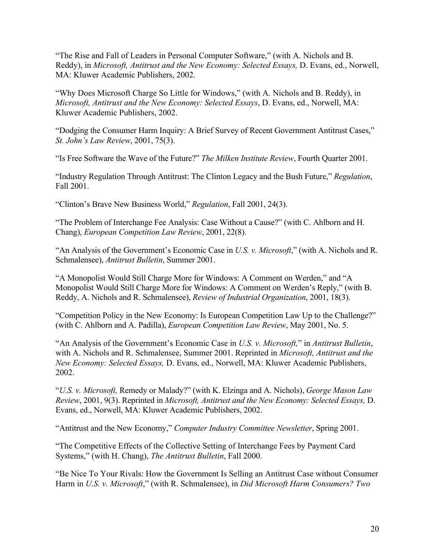"The Rise and Fall of Leaders in Personal Computer Software," (with A. Nichols and B. Reddy), in *Microsoft, Antitrust and the New Economy: Selected Essays,* D. Evans, ed., Norwell, MA: Kluwer Academic Publishers, 2002.

"Why Does Microsoft Charge So Little for Windows," (with A. Nichols and B. Reddy), in *Microsoft, Antitrust and the New Economy: Selected Essays*, D. Evans, ed., Norwell, MA: Kluwer Academic Publishers, 2002.

"Dodging the Consumer Harm Inquiry: A Brief Survey of Recent Government Antitrust Cases," *St. John's Law Review*, 2001, 75(3).

"Is Free Software the Wave of the Future?" *The Milken Institute Review*, Fourth Quarter 2001.

"Industry Regulation Through Antitrust: The Clinton Legacy and the Bush Future," *Regulation*, Fall 2001.

"Clinton's Brave New Business World," *Regulation*, Fall 2001, 24(3).

"The Problem of Interchange Fee Analysis: Case Without a Cause?" (with C. Ahlborn and H. Chang), *European Competition Law Review*, 2001, 22(8).

"An Analysis of the Government's Economic Case in *U.S. v. Microsoft*," (with A. Nichols and R. Schmalensee), *Antitrust Bulletin*, Summer 2001.

"A Monopolist Would Still Charge More for Windows: A Comment on Werden," and "A Monopolist Would Still Charge More for Windows: A Comment on Werden's Reply," (with B. Reddy, A. Nichols and R. Schmalensee), *Review of Industrial Organization*, 2001, 18(3).

"Competition Policy in the New Economy: Is European Competition Law Up to the Challenge?" (with C. Ahlborn and A. Padilla), *European Competition Law Review*, May 2001, No. 5.

"An Analysis of the Government's Economic Case in *U.S. v. Microsoft,*" in *Antitrust Bulletin*, with A. Nichols and R. Schmalensee, Summer 2001. Reprinted in *Microsoft, Antitrust and the New Economy: Selected Essays,* D. Evans, ed., Norwell, MA: Kluwer Academic Publishers, 2002.

"*U.S. v. Microsoft,* Remedy or Malady?" (with K. Elzinga and A. Nichols), *George Mason Law Review*, 2001, 9(3). Reprinted in *Microsoft, Antitrust and the New Economy: Selected Essays,* D. Evans, ed., Norwell, MA: Kluwer Academic Publishers, 2002.

"Antitrust and the New Economy," *Computer Industry Committee Newsletter*, Spring 2001.

"The Competitive Effects of the Collective Setting of Interchange Fees by Payment Card Systems," (with H. Chang), *The Antitrust Bulletin*, Fall 2000.

"Be Nice To Your Rivals: How the Government Is Selling an Antitrust Case without Consumer Harm in *U.S. v. Microsoft*," (with R. Schmalensee), in *Did Microsoft Harm Consumers? Two*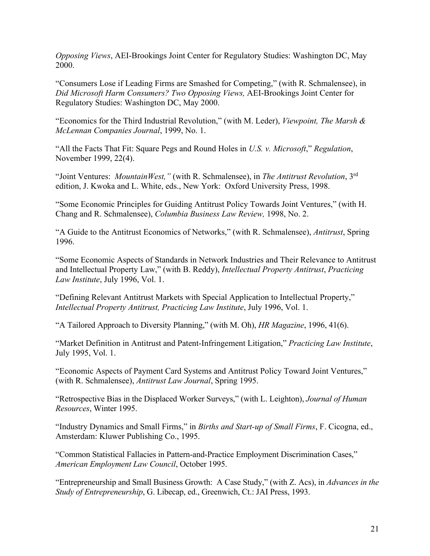*Opposing Views*, AEI-Brookings Joint Center for Regulatory Studies: Washington DC, May 2000.

"Consumers Lose if Leading Firms are Smashed for Competing," (with R. Schmalensee), in *Did Microsoft Harm Consumers? Two Opposing Views,* AEI-Brookings Joint Center for Regulatory Studies: Washington DC, May 2000.

"Economics for the Third Industrial Revolution," (with M. Leder), *Viewpoint, The Marsh & McLennan Companies Journal*, 1999, No. 1.

"All the Facts That Fit: Square Pegs and Round Holes in *U.S. v. Microsoft*," *Regulation*, November 1999, 22(4).

"Joint Ventures: *MountainWest,"* (with R. Schmalensee), in *The Antitrust Revolution*, 3rd edition, J. Kwoka and L. White, eds., New York: Oxford University Press, 1998.

"Some Economic Principles for Guiding Antitrust Policy Towards Joint Ventures," (with H. Chang and R. Schmalensee), *Columbia Business Law Review,* 1998, No. 2.

"A Guide to the Antitrust Economics of Networks," (with R. Schmalensee), *Antitrust*, Spring 1996.

"Some Economic Aspects of Standards in Network Industries and Their Relevance to Antitrust and Intellectual Property Law," (with B. Reddy), *Intellectual Property Antitrust*, *Practicing Law Institute*, July 1996, Vol. 1.

"Defining Relevant Antitrust Markets with Special Application to Intellectual Property," *Intellectual Property Antitrust, Practicing Law Institute*, July 1996, Vol. 1.

"A Tailored Approach to Diversity Planning," (with M. Oh), *HR Magazine*, 1996, 41(6).

"Market Definition in Antitrust and Patent-Infringement Litigation," *Practicing Law Institute*, July 1995, Vol. 1.

"Economic Aspects of Payment Card Systems and Antitrust Policy Toward Joint Ventures," (with R. Schmalensee), *Antitrust Law Journal*, Spring 1995.

"Retrospective Bias in the Displaced Worker Surveys," (with L. Leighton), *Journal of Human Resources*, Winter 1995.

"Industry Dynamics and Small Firms," in *Births and Start-up of Small Firms*, F. Cicogna, ed., Amsterdam: Kluwer Publishing Co., 1995.

"Common Statistical Fallacies in Pattern-and-Practice Employment Discrimination Cases," *American Employment Law Council*, October 1995.

"Entrepreneurship and Small Business Growth: A Case Study," (with Z. Acs), in *Advances in the Study of Entrepreneurship*, G. Libecap, ed., Greenwich, Ct.: JAI Press, 1993.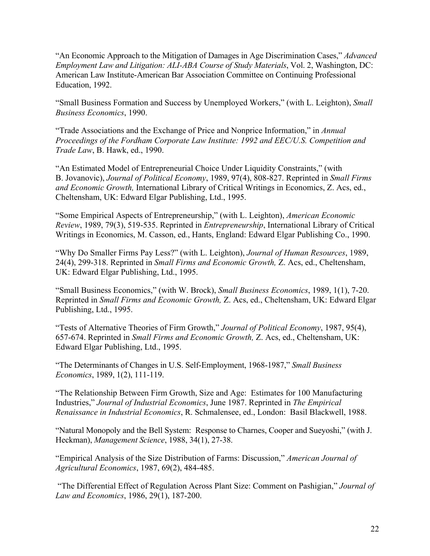"An Economic Approach to the Mitigation of Damages in Age Discrimination Cases," *Advanced Employment Law and Litigation: ALI-ABA Course of Study Materials*, Vol. 2, Washington, DC: American Law Institute-American Bar Association Committee on Continuing Professional Education, 1992.

"Small Business Formation and Success by Unemployed Workers," (with L. Leighton), *Small Business Economics*, 1990.

"Trade Associations and the Exchange of Price and Nonprice Information," in *Annual Proceedings of the Fordham Corporate Law Institute: 1992 and EEC/U.S. Competition and Trade Law*, B. Hawk, ed., 1990.

"An Estimated Model of Entrepreneurial Choice Under Liquidity Constraints," (with B. Jovanovic), *Journal of Political Economy*, 1989, 97(4), 808-827. Reprinted in *Small Firms and Economic Growth,* International Library of Critical Writings in Economics, Z. Acs, ed., Cheltensham, UK: Edward Elgar Publishing, Ltd., 1995.

"Some Empirical Aspects of Entrepreneurship," (with L. Leighton), *American Economic Review*, 1989, 79(3), 519-535. Reprinted in *Entrepreneurship*, International Library of Critical Writings in Economics, M. Casson, ed., Hants, England: Edward Elgar Publishing Co., 1990.

"Why Do Smaller Firms Pay Less?" (with L. Leighton), *Journal of Human Resources*, 1989, 24(4), 299-318. Reprinted in *Small Firms and Economic Growth,* Z. Acs, ed., Cheltensham, UK: Edward Elgar Publishing, Ltd., 1995.

"Small Business Economics," (with W. Brock), *Small Business Economics*, 1989, 1(1), 7-20. Reprinted in *Small Firms and Economic Growth,* Z. Acs, ed., Cheltensham, UK: Edward Elgar Publishing, Ltd., 1995.

"Tests of Alternative Theories of Firm Growth," *Journal of Political Economy*, 1987, 95(4), 657-674. Reprinted in *Small Firms and Economic Growth,* Z. Acs, ed., Cheltensham, UK: Edward Elgar Publishing, Ltd., 1995.

"The Determinants of Changes in U.S. Self-Employment, 1968-1987," *Small Business Economics*, 1989, 1(2), 111-119.

"The Relationship Between Firm Growth, Size and Age: Estimates for 100 Manufacturing Industries," *Journal of Industrial Economics*, June 1987. Reprinted in *The Empirical Renaissance in Industrial Economics*, R. Schmalensee, ed., London: Basil Blackwell, 1988.

"Natural Monopoly and the Bell System: Response to Charnes, Cooper and Sueyoshi," (with J. Heckman), *Management Science*, 1988, 34(1), 27-38.

"Empirical Analysis of the Size Distribution of Farms: Discussion," *American Journal of Agricultural Economics*, 1987, 69(2), 484-485.

 "The Differential Effect of Regulation Across Plant Size: Comment on Pashigian," *Journal of Law and Economics*, 1986, 29(1), 187-200.